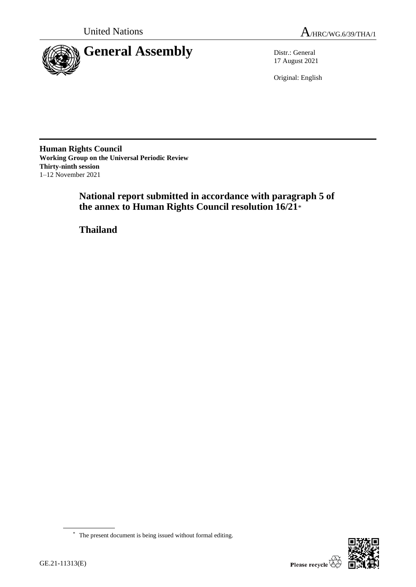



17 August 2021

Original: English

**Human Rights Council Working Group on the Universal Periodic Review Thirty-ninth session** 1–12 November 2021

> **National report submitted in accordance with paragraph 5 of the annex to Human Rights Council resolution 16/21**\*

**Thailand**



<sup>\*</sup> The present document is being issued without formal editing.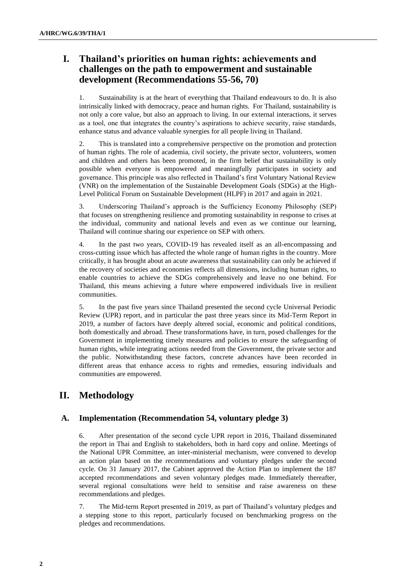# **I. Thailand's priorities on human rights: achievements and challenges on the path to empowerment and sustainable development (Recommendations 55-56, 70)**

1. Sustainability is at the heart of everything that Thailand endeavours to do. It is also intrinsically linked with democracy, peace and human rights. For Thailand, sustainability is not only a core value, but also an approach to living. In our external interactions, it serves as a tool, one that integrates the country's aspirations to achieve security, raise standards, enhance status and advance valuable synergies for all people living in Thailand.

2. This is translated into a comprehensive perspective on the promotion and protection of human rights. The role of academia, civil society, the private sector, volunteers, women and children and others has been promoted, in the firm belief that sustainability is only possible when everyone is empowered and meaningfully participates in society and governance. This principle was also reflected in Thailand's first Voluntary National Review (VNR) on the implementation of the Sustainable Development Goals (SDGs) at the High-Level Political Forum on Sustainable Development (HLPF) in 2017 and again in 2021.

3. Underscoring Thailand's approach is the Sufficiency Economy Philosophy (SEP) that focuses on strengthening resilience and promoting sustainability in response to crises at the individual, community and national levels and even as we continue our learning, Thailand will continue sharing our experience on SEP with others.

4. In the past two years, COVID-19 has revealed itself as an all-encompassing and cross-cutting issue which has affected the whole range of human rights in the country. More critically, it has brought about an acute awareness that sustainability can only be achieved if the recovery of societies and economies reflects all dimensions, including human rights, to enable countries to achieve the SDGs comprehensively and leave no one behind. For Thailand, this means achieving a future where empowered individuals live in resilient communities.

5. In the past five years since Thailand presented the second cycle Universal Periodic Review (UPR) report, and in particular the past three years since its Mid-Term Report in 2019, a number of factors have deeply altered social, economic and political conditions, both domestically and abroad. These transformations have, in turn, posed challenges for the Government in implementing timely measures and policies to ensure the safeguarding of human rights, while integrating actions needed from the Government, the private sector and the public. Notwithstanding these factors, concrete advances have been recorded in different areas that enhance access to rights and remedies, ensuring individuals and communities are empowered.

# **II. Methodology**

## **A. Implementation (Recommendation 54, voluntary pledge 3)**

6. After presentation of the second cycle UPR report in 2016, Thailand disseminated the report in Thai and English to stakeholders, both in hard copy and online. Meetings of the National UPR Committee, an inter-ministerial mechanism, were convened to develop an action plan based on the recommendations and voluntary pledges under the second cycle. On 31 January 2017, the Cabinet approved the Action Plan to implement the 187 accepted recommendations and seven voluntary pledges made. Immediately thereafter, several regional consultations were held to sensitise and raise awareness on these recommendations and pledges.

7. The Mid-term Report presented in 2019, as part of Thailand's voluntary pledges and a stepping stone to this report, particularly focused on benchmarking progress on the pledges and recommendations.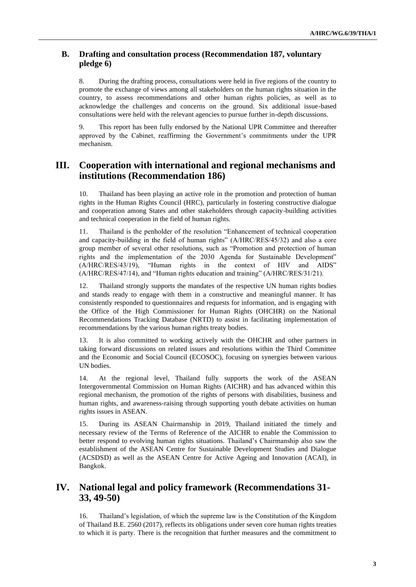## **B. Drafting and consultation process (Recommendation 187, voluntary pledge 6)**

8. During the drafting process, consultations were held in five regions of the country to promote the exchange of views among all stakeholders on the human rights situation in the country, to assess recommendations and other human rights policies, as well as to acknowledge the challenges and concerns on the ground. Six additional issue-based consultations were held with the relevant agencies to pursue further in-depth discussions.

9. This report has been fully endorsed by the National UPR Committee and thereafter approved by the Cabinet, reaffirming the Government's commitments under the UPR mechanism.

# **III. Cooperation with international and regional mechanisms and institutions (Recommendation 186)**

10. Thailand has been playing an active role in the promotion and protection of human rights in the Human Rights Council (HRC), particularly in fostering constructive dialogue and cooperation among States and other stakeholders through capacity-building activities and technical cooperation in the field of human rights.

11. Thailand is the penholder of the resolution "Enhancement of technical cooperation and capacity-building in the field of human rights" (A/HRC/RES/45/32) and also a core group member of several other resolutions, such as "Promotion and protection of human rights and the implementation of the 2030 Agenda for Sustainable Development" (A/HRC/RES/43/19), "Human rights in the context of HIV and AIDS" (A/HRC/RES/47/14), and "Human rights education and training" (A/HRC/RES/31/21).

12. Thailand strongly supports the mandates of the respective UN human rights bodies and stands ready to engage with them in a constructive and meaningful manner. It has consistently responded to questionnaires and requests for information, and is engaging with the Office of the High Commissioner for Human Rights (OHCHR) on the National Recommendations Tracking Database (NRTD) to assist in facilitating implementation of recommendations by the various human rights treaty bodies.

13. It is also committed to working actively with the OHCHR and other partners in taking forward discussions on related issues and resolutions within the Third Committee and the Economic and Social Council (ECOSOC), focusing on synergies between various UN bodies.

14. At the regional level, Thailand fully supports the work of the ASEAN Intergovernmental Commission on Human Rights (AICHR) and has advanced within this regional mechanism, the promotion of the rights of persons with disabilities, business and human rights, and awareness-raising through supporting youth debate activities on human rights issues in ASEAN.

15. During its ASEAN Chairmanship in 2019, Thailand initiated the timely and necessary review of the Terms of Reference of the AICHR to enable the Commission to better respond to evolving human rights situations. Thailand's Chairmanship also saw the establishment of the ASEAN Centre for Sustainable Development Studies and Dialogue (ACSDSD) as well as the ASEAN Centre for Active Ageing and Innovation (ACAI), in Bangkok.

# **IV. National legal and policy framework (Recommendations 31- 33, 49-50)**

16. Thailand's legislation, of which the supreme law is the Constitution of the Kingdom of Thailand B.E. 2560 (2017), reflects its obligations under seven core human rights treaties to which it is party. There is the recognition that further measures and the commitment to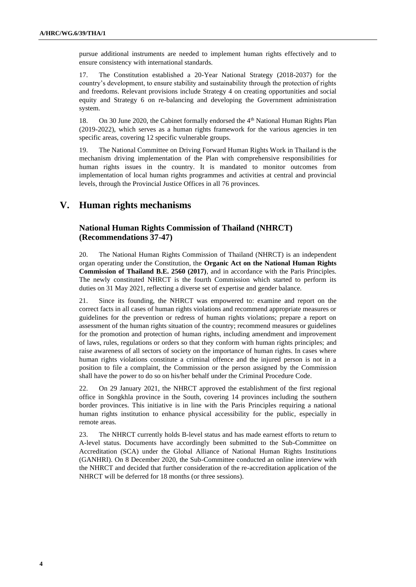pursue additional instruments are needed to implement human rights effectively and to ensure consistency with international standards.

17. The Constitution established a 20-Year National Strategy (2018-2037) for the country's development, to ensure stability and sustainability through the protection of rights and freedoms. Relevant provisions include Strategy 4 on creating opportunities and social equity and Strategy 6 on re-balancing and developing the Government administration system.

18. On 30 June 2020, the Cabinet formally endorsed the 4<sup>th</sup> National Human Rights Plan (2019-2022), which serves as a human rights framework for the various agencies in ten specific areas, covering 12 specific vulnerable groups.

19. The National Committee on Driving Forward Human Rights Work in Thailand is the mechanism driving implementation of the Plan with comprehensive responsibilities for human rights issues in the country. It is mandated to monitor outcomes from implementation of local human rights programmes and activities at central and provincial levels, through the Provincial Justice Offices in all 76 provinces.

## **V. Human rights mechanisms**

## **National Human Rights Commission of Thailand (NHRCT) (Recommendations 37-47)**

20. The National Human Rights Commission of Thailand (NHRCT) is an independent organ operating under the Constitution, the **Organic Act on the National Human Rights Commission of Thailand B.E. 2560 (2017)**, and in accordance with the Paris Principles. The newly constituted NHRCT is the fourth Commission which started to perform its duties on 31 May 2021, reflecting a diverse set of expertise and gender balance.

21. Since its founding, the NHRCT was empowered to: examine and report on the correct facts in all cases of human rights violations and recommend appropriate measures or guidelines for the prevention or redress of human rights violations; prepare a report on assessment of the human rights situation of the country; recommend measures or guidelines for the promotion and protection of human rights, including amendment and improvement of laws, rules, regulations or orders so that they conform with human rights principles; and raise awareness of all sectors of society on the importance of human rights. In cases where human rights violations constitute a criminal offence and the injured person is not in a position to file a complaint, the Commission or the person assigned by the Commission shall have the power to do so on his/her behalf under the Criminal Procedure Code.

22. On 29 January 2021, the NHRCT approved the establishment of the first regional office in Songkhla province in the South, covering 14 provinces including the southern border provinces. This initiative is in line with the Paris Principles requiring a national human rights institution to enhance physical accessibility for the public, especially in remote areas.

23. The NHRCT currently holds B-level status and has made earnest efforts to return to A-level status. Documents have accordingly been submitted to the Sub-Committee on Accreditation (SCA) under the Global Alliance of National Human Rights Institutions (GANHRI). On 8 December 2020, the Sub-Committee conducted an online interview with the NHRCT and decided that further consideration of the re-accreditation application of the NHRCT will be deferred for 18 months (or three sessions).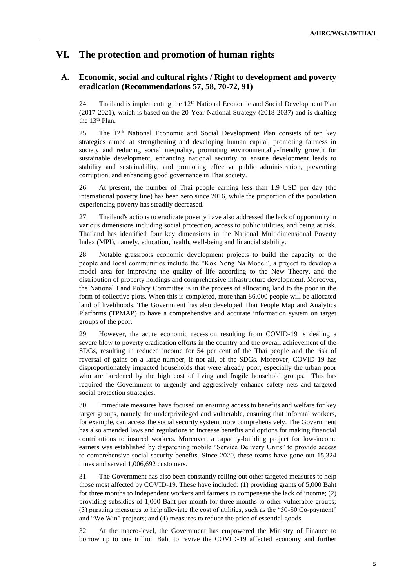# **VI. The protection and promotion of human rights**

## **A. Economic, social and cultural rights / Right to development and poverty eradication (Recommendations 57, 58, 70-72, 91)**

24. Thailand is implementing the 12<sup>th</sup> National Economic and Social Development Plan (2017-2021), which is based on the 20-Year National Strategy (2018-2037) and is drafting the 13<sup>th</sup> Plan.

25. The 12<sup>th</sup> National Economic and Social Development Plan consists of ten key strategies aimed at strengthening and developing human capital, promoting fairness in society and reducing social inequality, promoting environmentally-friendly growth for sustainable development, enhancing national security to ensure development leads to stability and sustainability, and promoting effective public administration, preventing corruption, and enhancing good governance in Thai society.

26. At present, the number of Thai people earning less than 1.9 USD per day (the international poverty line) has been zero since 2016, while the proportion of the population experiencing poverty has steadily decreased.

27. Thailand's actions to eradicate poverty have also addressed the lack of opportunity in various dimensions including social protection, access to public utilities, and being at risk. Thailand has identified four key dimensions in the National Multidimensional Poverty Index (MPI), namely, education, health, well-being and financial stability.

28. Notable grassroots economic development projects to build the capacity of the people and local communities include the "Kok Nong Na Model", a project to develop a model area for improving the quality of life according to the New Theory, and the distribution of property holdings and comprehensive infrastructure development. Moreover, the National Land Policy Committee is in the process of allocating land to the poor in the form of collective plots. When this is completed, more than 86,000 people will be allocated land of livelihoods. The Government has also developed Thai People Map and Analytics Platforms (TPMAP) to have a comprehensive and accurate information system on target groups of the poor.

29. However, the acute economic recession resulting from COVID-19 is dealing a severe blow to poverty eradication efforts in the country and the overall achievement of the SDGs, resulting in reduced income for 54 per cent of the Thai people and the risk of reversal of gains on a large number, if not all, of the SDGs. Moreover, COVID-19 has disproportionately impacted households that were already poor, especially the urban poor who are burdened by the high cost of living and fragile household groups. This has required the Government to urgently and aggressively enhance safety nets and targeted social protection strategies.

30. Immediate measures have focused on ensuring access to benefits and welfare for key target groups, namely the underprivileged and vulnerable, ensuring that informal workers, for example, can access the social security system more comprehensively. The Government has also amended laws and regulations to increase benefits and options for making financial contributions to insured workers. Moreover, a capacity-building project for low-income earners was established by dispatching mobile "Service Delivery Units" to provide access to comprehensive social security benefits. Since 2020, these teams have gone out 15,324 times and served 1,006,692 customers.

31. The Government has also been constantly rolling out other targeted measures to help those most affected by COVID-19. These have included: (1) providing grants of 5,000 Baht for three months to independent workers and farmers to compensate the lack of income; (2) providing subsidies of 1,000 Baht per month for three months to other vulnerable groups; (3) pursuing measures to help alleviate the cost of utilities, such as the "50-50 Co-payment" and "We Win" projects; and (4) measures to reduce the price of essential goods.

32. At the macro-level, the Government has empowered the Ministry of Finance to borrow up to one trillion Baht to revive the COVID-19 affected economy and further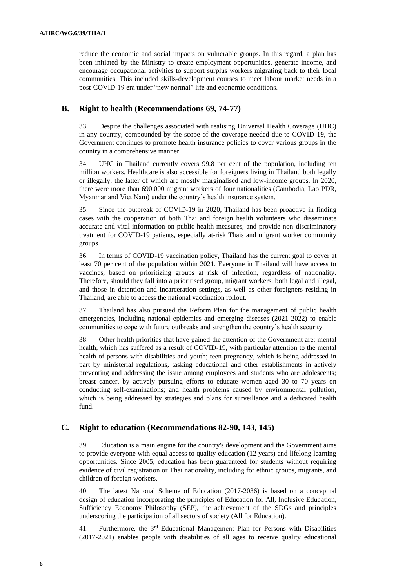reduce the economic and social impacts on vulnerable groups. In this regard, a plan has been initiated by the Ministry to create employment opportunities, generate income, and encourage occupational activities to support surplus workers migrating back to their local communities. This included skills-development courses to meet labour market needs in a post-COVID-19 era under "new normal" life and economic conditions.

## **B. Right to health (Recommendations 69, 74-77)**

33. Despite the challenges associated with realising Universal Health Coverage (UHC) in any country, compounded by the scope of the coverage needed due to COVID-19, the Government continues to promote health insurance policies to cover various groups in the country in a comprehensive manner.

34. UHC in Thailand currently covers 99.8 per cent of the population, including ten million workers. Healthcare is also accessible for foreigners living in Thailand both legally or illegally, the latter of which are mostly marginalised and low-income groups. In 2020, there were more than 690,000 migrant workers of four nationalities (Cambodia, Lao PDR, Myanmar and Viet Nam) under the country's health insurance system.

35. Since the outbreak of COVID-19 in 2020, Thailand has been proactive in finding cases with the cooperation of both Thai and foreign health volunteers who disseminate accurate and vital information on public health measures, and provide non-discriminatory treatment for COVID-19 patients, especially at-risk Thais and migrant worker community groups.

36. In terms of COVID-19 vaccination policy, Thailand has the current goal to cover at least 70 per cent of the population within 2021. Everyone in Thailand will have access to vaccines, based on prioritizing groups at risk of infection, regardless of nationality. Therefore, should they fall into a prioritised group, migrant workers, both legal and illegal, and those in detention and incarceration settings, as well as other foreigners residing in Thailand, are able to access the national vaccination rollout.

37. Thailand has also pursued the Reform Plan for the management of public health emergencies, including national epidemics and emerging diseases (2021-2022) to enable communities to cope with future outbreaks and strengthen the country's health security.

38. Other health priorities that have gained the attention of the Government are: mental health, which has suffered as a result of COVID-19, with particular attention to the mental health of persons with disabilities and youth; teen pregnancy, which is being addressed in part by ministerial regulations, tasking educational and other establishments in actively preventing and addressing the issue among employees and students who are adolescents; breast cancer, by actively pursuing efforts to educate women aged 30 to 70 years on conducting self-examinations; and health problems caused by environmental pollution, which is being addressed by strategies and plans for surveillance and a dedicated health fund.

## **C. Right to education (Recommendations 82-90, 143, 145)**

39. Education is a main engine for the country's development and the Government aims to provide everyone with equal access to quality education (12 years) and lifelong learning opportunities. Since 2005, education has been guaranteed for students without requiring evidence of civil registration or Thai nationality, including for ethnic groups, migrants, and children of foreign workers.

40. The latest National Scheme of Education (2017-2036) is based on a conceptual design of education incorporating the principles of Education for All, Inclusive Education, Sufficiency Economy Philosophy (SEP), the achievement of the SDGs and principles underscoring the participation of all sectors of society (All for Education).

41. Furthermore, the 3<sup>rd</sup> Educational Management Plan for Persons with Disabilities (2017-2021) enables people with disabilities of all ages to receive quality educational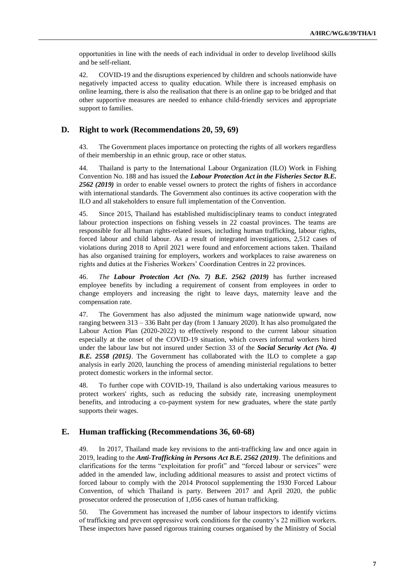opportunities in line with the needs of each individual in order to develop livelihood skills and be self-reliant.

42. COVID-19 and the disruptions experienced by children and schools nationwide have negatively impacted access to quality education. While there is increased emphasis on online learning, there is also the realisation that there is an online gap to be bridged and that other supportive measures are needed to enhance child-friendly services and appropriate support to families.

### **D. Right to work (Recommendations 20, 59, 69)**

43. The Government places importance on protecting the rights of all workers regardless of their membership in an ethnic group, race or other status.

44. Thailand is party to the International Labour Organization (ILO) Work in Fishing Convention No. 188 and has issued the *Labour Protection Act in the Fisheries Sector B.E. 2562 (2019)* in order to enable vessel owners to protect the rights of fishers in accordance with international standards. The Government also continues its active cooperation with the ILO and all stakeholders to ensure full implementation of the Convention.

45. Since 2015, Thailand has established multidisciplinary teams to conduct integrated labour protection inspections on fishing vessels in 22 coastal provinces. The teams are responsible for all human rights-related issues, including human trafficking, labour rights, forced labour and child labour. As a result of integrated investigations, 2,512 cases of violations during 2018 to April 2021 were found and enforcement actions taken. Thailand has also organised training for employers, workers and workplaces to raise awareness on rights and duties at the Fisheries Workers' Coordination Centres in 22 provinces.

46. *The Labour Protection Act (No. 7) B.E. 2562 (2019)* has further increased employee benefits by including a requirement of consent from employees in order to change employers and increasing the right to leave days, maternity leave and the compensation rate.

47. The Government has also adjusted the minimum wage nationwide upward, now ranging between 313 – 336 Baht per day (from 1 January 2020). It has also promulgated the Labour Action Plan (2020-2022) to effectively respond to the current labour situation especially at the onset of the COVID-19 situation, which covers informal workers hired under the labour law but not insured under Section 33 of the *Social Security Act (No. 4) B.E. 2558 (2015)*. The Government has collaborated with the ILO to complete a gap analysis in early 2020, launching the process of amending ministerial regulations to better protect domestic workers in the informal sector.

48. To further cope with COVID-19, Thailand is also undertaking various measures to protect workers' rights, such as reducing the subsidy rate, increasing unemployment benefits, and introducing a co-payment system for new graduates, where the state partly supports their wages.

### **E. Human trafficking (Recommendations 36, 60-68)**

49. In 2017, Thailand made key revisions to the anti-trafficking law and once again in 2019, leading to the *Anti-Trafficking in Persons Act B.E. 2562 (2019)*. The definitions and clarifications for the terms "exploitation for profit" and "forced labour or services" were added in the amended law, including additional measures to assist and protect victims of forced labour to comply with the 2014 Protocol supplementing the 1930 Forced Labour Convention, of which Thailand is party. Between 2017 and April 2020, the public prosecutor ordered the prosecution of 1,056 cases of human trafficking.

50. The Government has increased the number of labour inspectors to identify victims of trafficking and prevent oppressive work conditions for the country's 22 million workers. These inspectors have passed rigorous training courses organised by the Ministry of Social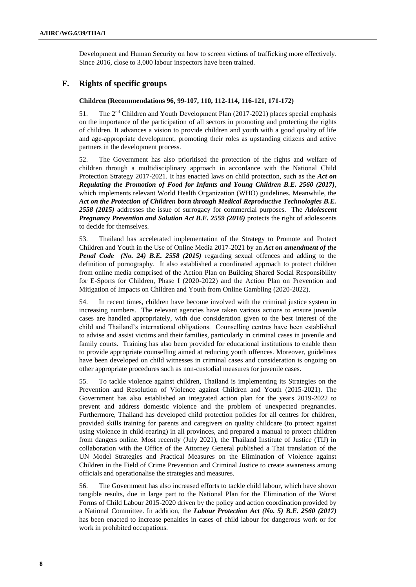Development and Human Security on how to screen victims of trafficking more effectively. Since 2016, close to 3,000 labour inspectors have been trained.

## **F. Rights of specific groups**

#### **Children (Recommendations 96, 99-107, 110, 112-114, 116-121, 171-172)**

51. The  $2<sup>nd</sup>$  Children and Youth Development Plan (2017-2021) places special emphasis on the importance of the participation of all sectors in promoting and protecting the rights of children. It advances a vision to provide children and youth with a good quality of life and age-appropriate development, promoting their roles as upstanding citizens and active partners in the development process.

52. The Government has also prioritised the protection of the rights and welfare of children through a multidisciplinary approach in accordance with the National Child Protection Strategy 2017-2021. It has enacted laws on child protection, such as the *Act on Regulating the Promotion of Food for Infants and Young Children B.E. 2560 (2017)*, which implements relevant World Health Organization (WHO) guidelines. Meanwhile, the *Act on the Protection of Children born through Medical Reproductive Technologies B.E. 2558 (2015)* addresses the issue of surrogacy for commercial purposes. The *Adolescent Pregnancy Prevention and Solution Act B.E. 2559 (2016)* protects the right of adolescents to decide for themselves.

53. Thailand has accelerated implementation of the Strategy to Promote and Protect Children and Youth in the Use of Online Media 2017-2021 by an *Act on amendment of the Penal Code (No. 24) B.E. 2558 (2015)* regarding sexual offences and adding to the definition of pornography. It also established a coordinated approach to protect children from online media comprised of the Action Plan on Building Shared Social Responsibility for E-Sports for Children, Phase I (2020-2022) and the Action Plan on Prevention and Mitigation of Impacts on Children and Youth from Online Gambling (2020-2022).

54. In recent times, children have become involved with the criminal justice system in increasing numbers. The relevant agencies have taken various actions to ensure juvenile cases are handled appropriately, with due consideration given to the best interest of the child and Thailand's international obligations. Counselling centres have been established to advise and assist victims and their families, particularly in criminal cases in juvenile and family courts. Training has also been provided for educational institutions to enable them to provide appropriate counselling aimed at reducing youth offences. Moreover, guidelines have been developed on child witnesses in criminal cases and consideration is ongoing on other appropriate procedures such as non-custodial measures for juvenile cases.

55. To tackle violence against children, Thailand is implementing its Strategies on the Prevention and Resolution of Violence against Children and Youth (2015-2021). The Government has also established an integrated action plan for the years 2019-2022 to prevent and address domestic violence and the problem of unexpected pregnancies. Furthermore, Thailand has developed child protection policies for all centres for children, provided skills training for parents and caregivers on quality childcare (to protect against using violence in child-rearing) in all provinces, and prepared a manual to protect children from dangers online. Most recently (July 2021), the Thailand Institute of Justice (TIJ) in collaboration with the Office of the Attorney General published a Thai translation of the UN Model Strategies and Practical Measures on the Elimination of Violence against Children in the Field of Crime Prevention and Criminal Justice to create awareness among officials and operationalise the strategies and measures.

56. The Government has also increased efforts to tackle child labour, which have shown tangible results, due in large part to the National Plan for the Elimination of the Worst Forms of Child Labour 2015-2020 driven by the policy and action coordination provided by a National Committee. In addition, the *Labour Protection Act (No. 5) B.E. 2560 (2017)* has been enacted to increase penalties in cases of child labour for dangerous work or for work in prohibited occupations.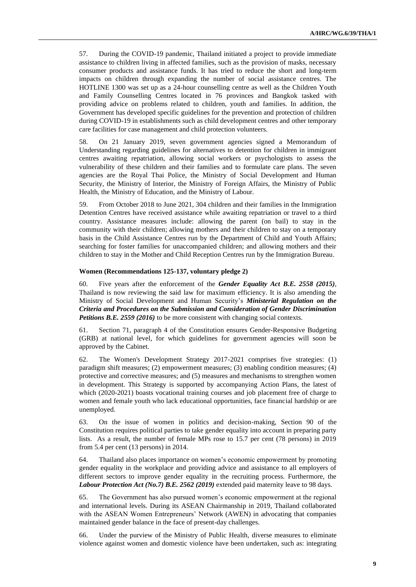57. During the COVID-19 pandemic, Thailand initiated a project to provide immediate assistance to children living in affected families, such as the provision of masks, necessary consumer products and assistance funds. It has tried to reduce the short and long-term impacts on children through expanding the number of social assistance centres. The HOTLINE 1300 was set up as a 24-hour counselling centre as well as the Children Youth and Family Counselling Centres located in 76 provinces and Bangkok tasked with providing advice on problems related to children, youth and families. In addition, the Government has developed specific guidelines for the prevention and protection of children during COVID-19 in establishments such as child development centres and other temporary care facilities for case management and child protection volunteers.

58. On 21 January 2019, seven government agencies signed a Memorandum of Understanding regarding guidelines for alternatives to detention for children in immigrant centres awaiting repatriation, allowing social workers or psychologists to assess the vulnerability of these children and their families and to formulate care plans. The seven agencies are the Royal Thai Police, the Ministry of Social Development and Human Security, the Ministry of Interior, the Ministry of Foreign Affairs, the Ministry of Public Health, the Ministry of Education, and the Ministry of Labour.

59. From October 2018 to June 2021, 304 children and their families in the Immigration Detention Centres have received assistance while awaiting repatriation or travel to a third country. Assistance measures include: allowing the parent (on bail) to stay in the community with their children; allowing mothers and their children to stay on a temporary basis in the Child Assistance Centres run by the Department of Child and Youth Affairs; searching for foster families for unaccompanied children; and allowing mothers and their children to stay in the Mother and Child Reception Centres run by the Immigration Bureau.

#### **Women (Recommendations 125-137, voluntary pledge 2)**

60. Five years after the enforcement of the *Gender Equality Act B.E. 2558 (2015)*, Thailand is now reviewing the said law for maximum efficiency. It is also amending the Ministry of Social Development and Human Security's *Ministerial Regulation on the Criteria and Procedures on the Submission and Consideration of Gender Discrimination Petitions B.E. 2559 (2016)* to be more consistent with changing social contexts.

61. Section 71, paragraph 4 of the Constitution ensures Gender-Responsive Budgeting (GRB) at national level, for which guidelines for government agencies will soon be approved by the Cabinet.

62. The Women's Development Strategy 2017-2021 comprises five strategies: (1) paradigm shift measures; (2) empowerment measures; (3) enabling condition measures; (4) protective and corrective measures; and (5) measures and mechanisms to strengthen women in development. This Strategy is supported by accompanying Action Plans, the latest of which (2020-2021) boasts vocational training courses and job placement free of charge to women and female youth who lack educational opportunities, face financial hardship or are unemployed.

63. On the issue of women in politics and decision-making, Section 90 of the Constitution requires political parties to take gender equality into account in preparing party lists. As a result, the number of female MPs rose to 15.7 per cent (78 persons) in 2019 from 5.4 per cent (13 persons) in 2014.

64. Thailand also places importance on women's economic empowerment by promoting gender equality in the workplace and providing advice and assistance to all employers of different sectors to improve gender equality in the recruiting process. Furthermore, the *Labour Protection Act (No.7) B.E. 2562 (2019)* extended paid maternity leave to 98 days.

65. The Government has also pursued women's economic empowerment at the regional and international levels. During its ASEAN Chairmanship in 2019, Thailand collaborated with the ASEAN Women Entrepreneurs' Network (AWEN) in advocating that companies maintained gender balance in the face of present-day challenges.

66. Under the purview of the Ministry of Public Health, diverse measures to eliminate violence against women and domestic violence have been undertaken, such as: integrating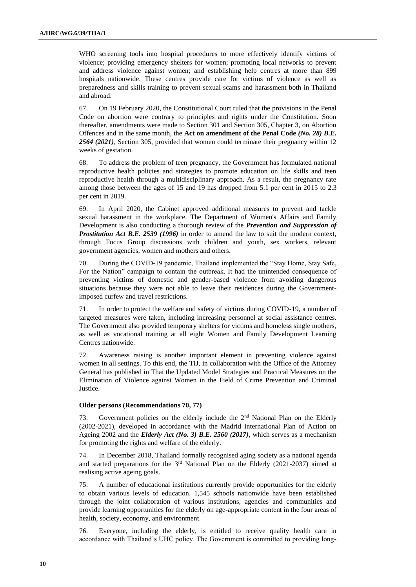WHO screening tools into hospital procedures to more effectively identify victims of violence; providing emergency shelters for women; promoting local networks to prevent and address violence against women; and establishing help centres at more than 899 hospitals nationwide. These centres provide care for victims of violence as well as preparedness and skills training to prevent sexual scams and harassment both in Thailand and abroad.

67. On 19 February 2020, the Constitutional Court ruled that the provisions in the Penal Code on abortion were contrary to principles and rights under the Constitution. Soon thereafter, amendments were made to Section 301 and Section 305, Chapter 3, on Abortion Offences and in the same month, the **Act on amendment of the Penal Code** *(No. 28) B.E. 2564 (2021),* Section 305, provided that women could terminate their pregnancy within 12 weeks of gestation.

68. To address the problem of teen pregnancy, the Government has formulated national reproductive health policies and strategies to promote education on life skills and teen reproductive health through a multidisciplinary approach. As a result, the pregnancy rate among those between the ages of 15 and 19 has dropped from 5.1 per cent in 2015 to 2.3 per cent in 2019.

69. In April 2020, the Cabinet approved additional measures to prevent and tackle sexual harassment in the workplace. The Department of Women's Affairs and Family Development is also conducting a thorough review of the *Prevention and Suppression of Prostitution Act B.E. 2539 (1996)* in order to amend the law to suit the modern context, through Focus Group discussions with children and youth, sex workers, relevant government agencies, women and mothers and others.

70. During the COVID-19 pandemic, Thailand implemented the "Stay Home, Stay Safe, For the Nation" campaign to contain the outbreak. It had the unintended consequence of preventing victims of domestic and gender-based violence from avoiding dangerous situations because they were not able to leave their residences during the Governmentimposed curfew and travel restrictions.

71. In order to protect the welfare and safety of victims during COVID-19, a number of targeted measures were taken, including increasing personnel at social assistance centres. The Government also provided temporary shelters for victims and homeless single mothers, as well as vocational training at all eight Women and Family Development Learning Centres nationwide.

72. Awareness raising is another important element in preventing violence against women in all settings. To this end, the TIJ, in collaboration with the Office of the Attorney General has published in Thai the Updated Model Strategies and Practical Measures on the Elimination of Violence against Women in the Field of Crime Prevention and Criminal Justice.

#### **Older persons (Recommendations 70, 77)**

73. Government policies on the elderly include the 2nd National Plan on the Elderly (2002-2021), developed in accordance with the Madrid International Plan of Action on Ageing 2002 and the *Elderly Act (No. 3) B.E. 2560 (2017)*, which serves as a mechanism for promoting the rights and welfare of the elderly.

74. In December 2018, Thailand formally recognised aging society as a national agenda and started preparations for the  $3<sup>rd</sup>$  National Plan on the Elderly (2021-2037) aimed at realising active ageing goals.

75. A number of educational institutions currently provide opportunities for the elderly to obtain various levels of education. 1,545 schools nationwide have been established through the joint collaboration of various institutions, agencies and communities and provide learning opportunities for the elderly on age-appropriate content in the four areas of health, society, economy, and environment.

76. Everyone, including the elderly, is entitled to receive quality health care in accordance with Thailand's UHC policy. The Government is committed to providing long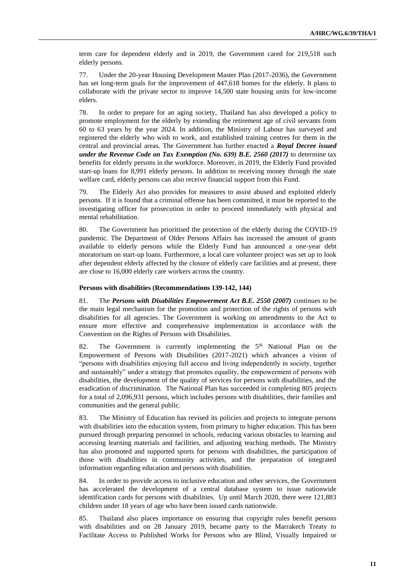term care for dependent elderly and in 2019, the Government cared for 219,518 such elderly persons.

77. Under the 20-year Housing Development Master Plan (2017-2036), the Government has set long-term goals for the improvement of 447,618 homes for the elderly. It plans to collaborate with the private sector to improve 14,500 state housing units for low-income elders.

78. In order to prepare for an aging society, Thailand has also developed a policy to promote employment for the elderly by extending the retirement age of civil servants from 60 to 63 years by the year 2024. In addition, the Ministry of Labour has surveyed and registered the elderly who wish to work, and established training centres for them in the central and provincial areas. The Government has further enacted a *Royal Decree issued under the Revenue Code on Tax Exemption (No. 639) B.E. 2560 (2017)* to determine tax benefits for elderly persons in the workforce. Moreover, in 2019, the Elderly Fund provided start-up loans for 8,991 elderly persons. In addition to receiving money through the state welfare card, elderly persons can also receive financial support from this Fund.

79. The Elderly Act also provides for measures to assist abused and exploited elderly persons. If it is found that a criminal offense has been committed, it must be reported to the investigating officer for prosecution in order to proceed immediately with physical and mental rehabilitation.

80. The Government has prioritised the protection of the elderly during the COVID-19 pandemic. The Department of Older Persons Affairs has increased the amount of grants available to elderly persons while the Elderly Fund has announced a one-year debt moratorium on start-up loans. Furthermore, a local care volunteer project was set up to look after dependent elderly affected by the closure of elderly care facilities and at present, there are close to 16,000 elderly care workers across the country.

#### **Persons with disabilities (Recommendations 139-142, 144)**

81. The *Persons with Disabilities Empowerment Act B.E. 2550 (2007)* continues to be the main legal mechanism for the promotion and protection of the rights of persons with disabilities for all agencies. The Government is working on amendments to the Act to ensure more effective and comprehensive implementation in accordance with the Convention on the Rights of Persons with Disabilities.

82. The Government is currently implementing the 5<sup>th</sup> National Plan on the Empowerment of Persons with Disabilities (2017-2021) which advances a vision of "persons with disabilities enjoying full access and living independently in society, together and sustainably" under a strategy that promotes equality, the empowerment of persons with disabilities, the development of the quality of services for persons with disabilities, and the eradication of discrimination. The National Plan has succeeded in completing 805 projects for a total of 2,096,931 persons, which includes persons with disabilities, their families and communities and the general public.

83. The Ministry of Education has revised its policies and projects to integrate persons with disabilities into the education system, from primary to higher education. This has been pursued through preparing personnel in schools, reducing various obstacles to learning and accessing learning materials and facilities, and adjusting teaching methods. The Ministry has also promoted and supported sports for persons with disabilities, the participation of those with disabilities in community activities, and the preparation of integrated information regarding education and persons with disabilities.

84. In order to provide access to inclusive education and other services, the Government has accelerated the development of a central database system to issue nationwide identification cards for persons with disabilities. Up until March 2020, there were 121,883 children under 18 years of age who have been issued cards nationwide.

85. Thailand also places importance on ensuring that copyright rules benefit persons with disabilities and on 28 January 2019, became party to the Marrakech Treaty to Facilitate Access to Published Works for Persons who are Blind, Visually Impaired or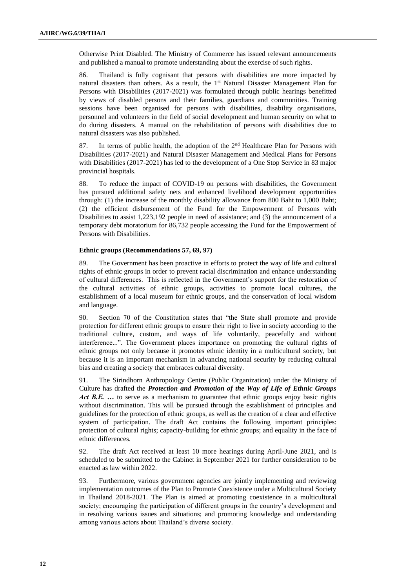Otherwise Print Disabled. The Ministry of Commerce has issued relevant announcements and published a manual to promote understanding about the exercise of such rights.

86. Thailand is fully cognisant that persons with disabilities are more impacted by natural disasters than others. As a result, the 1<sup>st</sup> Natural Disaster Management Plan for Persons with Disabilities (2017-2021) was formulated through public hearings benefitted by views of disabled persons and their families, guardians and communities. Training sessions have been organised for persons with disabilities, disability organisations, personnel and volunteers in the field of social development and human security on what to do during disasters. A manual on the rehabilitation of persons with disabilities due to natural disasters was also published.

87. In terms of public health, the adoption of the  $2<sup>nd</sup>$  Healthcare Plan for Persons with Disabilities (2017-2021) and Natural Disaster Management and Medical Plans for Persons with Disabilities (2017-2021) has led to the development of a One Stop Service in 83 major provincial hospitals.

88. To reduce the impact of COVID-19 on persons with disabilities, the Government has pursued additional safety nets and enhanced livelihood development opportunities through: (1) the increase of the monthly disability allowance from 800 Baht to 1,000 Baht; (2) the efficient disbursement of the Fund for the Empowerment of Persons with Disabilities to assist 1,223,192 people in need of assistance; and (3) the announcement of a temporary debt moratorium for 86,732 people accessing the Fund for the Empowerment of Persons with Disabilities.

#### **Ethnic groups (Recommendations 57, 69, 97)**

89. The Government has been proactive in efforts to protect the way of life and cultural rights of ethnic groups in order to prevent racial discrimination and enhance understanding of cultural differences. This is reflected in the Government's support for the restoration of the cultural activities of ethnic groups, activities to promote local cultures, the establishment of a local museum for ethnic groups, and the conservation of local wisdom and language.

90. Section 70 of the Constitution states that "the State shall promote and provide protection for different ethnic groups to ensure their right to live in society according to the traditional culture, custom, and ways of life voluntarily, peacefully and without interference...". The Government places importance on promoting the cultural rights of ethnic groups not only because it promotes ethnic identity in a multicultural society, but because it is an important mechanism in advancing national security by reducing cultural bias and creating a society that embraces cultural diversity.

91. The Sirindhorn Anthropology Centre (Public Organization) under the Ministry of Culture has drafted the *Protection and Promotion of the Way of Life of Ethnic Groups Act B.E.* ... to serve as a mechanism to guarantee that ethnic groups enjoy basic rights without discrimination. This will be pursued through the establishment of principles and guidelines for the protection of ethnic groups, as well as the creation of a clear and effective system of participation. The draft Act contains the following important principles: protection of cultural rights; capacity-building for ethnic groups; and equality in the face of ethnic differences.

92. The draft Act received at least 10 more hearings during April-June 2021, and is scheduled to be submitted to the Cabinet in September 2021 for further consideration to be enacted as law within 2022.

93. Furthermore, various government agencies are jointly implementing and reviewing implementation outcomes of the Plan to Promote Coexistence under a Multicultural Society in Thailand 2018-2021. The Plan is aimed at promoting coexistence in a multicultural society; encouraging the participation of different groups in the country's development and in resolving various issues and situations; and promoting knowledge and understanding among various actors about Thailand's diverse society.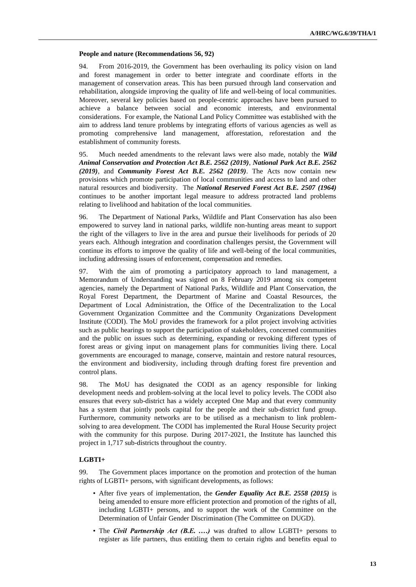#### **People and nature (Recommendations 56, 92)**

94. From 2016-2019, the Government has been overhauling its policy vision on land and forest management in order to better integrate and coordinate efforts in the management of conservation areas. This has been pursued through land conservation and rehabilitation, alongside improving the quality of life and well-being of local communities. Moreover, several key policies based on people-centric approaches have been pursued to achieve a balance between social and economic interests, and environmental considerations. For example, the National Land Policy Committee was established with the aim to address land tenure problems by integrating efforts of various agencies as well as promoting comprehensive land management, afforestation, reforestation and the establishment of community forests.

95. Much needed amendments to the relevant laws were also made, notably the *Wild Animal Conservation and Protection Act B.E. 2562 (2019)*, *National Park Act B.E. 2562 (2019)*, and *Community Forest Act B.E. 2562 (2019)*. The Acts now contain new provisions which promote participation of local communities and access to land and other natural resources and biodiversity. The *National Reserved Forest Act B.E. 2507 (1964)* continues to be another important legal measure to address protracted land problems relating to livelihood and habitation of the local communities.

96. The Department of National Parks, Wildlife and Plant Conservation has also been empowered to survey land in national parks, wildlife non-hunting areas meant to support the right of the villagers to live in the area and pursue their livelihoods for periods of 20 years each. Although integration and coordination challenges persist, the Government will continue its efforts to improve the quality of life and well-being of the local communities, including addressing issues of enforcement, compensation and remedies.

97. With the aim of promoting a participatory approach to land management, a Memorandum of Understanding was signed on 8 February 2019 among six competent agencies, namely the Department of National Parks, Wildlife and Plant Conservation, the Royal Forest Department, the Department of Marine and Coastal Resources, the Department of Local Administration, the Office of the Decentralization to the Local Government Organization Committee and the Community Organizations Development Institute (CODI). The MoU provides the framework for a pilot project involving activities such as public hearings to support the participation of stakeholders, concerned communities and the public on issues such as determining, expanding or revoking different types of forest areas or giving input on management plans for communities living there. Local governments are encouraged to manage, conserve, maintain and restore natural resources, the environment and biodiversity, including through drafting forest fire prevention and control plans.

98. The MoU has designated the CODI as an agency responsible for linking development needs and problem-solving at the local level to policy levels. The CODI also ensures that every sub-district has a widely accepted One Map and that every community has a system that jointly pools capital for the people and their sub-district fund group. Furthermore, community networks are to be utilised as a mechanism to link problemsolving to area development. The CODI has implemented the Rural House Security project with the community for this purpose. During 2017-2021, the Institute has launched this project in 1,717 sub-districts throughout the country.

### **LGBTI+**

99. The Government places importance on the promotion and protection of the human rights of LGBTI+ persons, with significant developments, as follows:

- After five years of implementation, the *Gender Equality Act B.E. 2558 (2015)* is being amended to ensure more efficient protection and promotion of the rights of all, including LGBTI+ persons, and to support the work of the Committee on the Determination of Unfair Gender Discrimination (The Committee on DUGD).
- The *Civil Partnership Act (B.E. ....)* was drafted to allow LGBTI+ persons to register as life partners, thus entitling them to certain rights and benefits equal to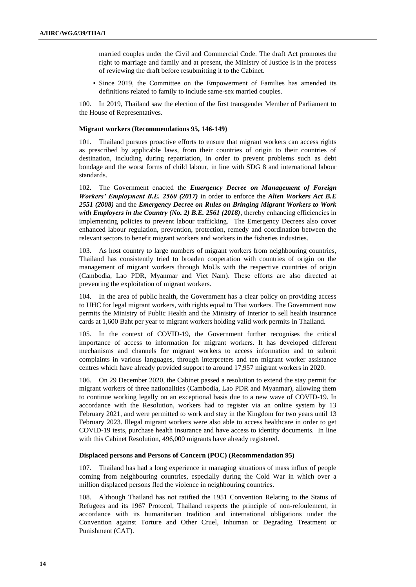married couples under the Civil and Commercial Code. The draft Act promotes the right to marriage and family and at present, the Ministry of Justice is in the process of reviewing the draft before resubmitting it to the Cabinet.

• Since 2019, the Committee on the Empowerment of Families has amended its definitions related to family to include same-sex married couples.

100. In 2019, Thailand saw the election of the first transgender Member of Parliament to the House of Representatives.

#### **Migrant workers (Recommendations 95, 146-149)**

101. Thailand pursues proactive efforts to ensure that migrant workers can access rights as prescribed by applicable laws, from their countries of origin to their countries of destination, including during repatriation, in order to prevent problems such as debt bondage and the worst forms of child labour, in line with SDG 8 and international labour standards.

102. The Government enacted the *Emergency Decree on Management of Foreign Workers' Employment B.E. 2560 (2017)* in order to enforce the *Alien Workers Act B.E 2551 (2008)* and the *Emergency Decree on Rules on Bringing Migrant Workers to Work with Employers in the Country (No. 2) B.E. 2561 (2018)*, thereby enhancing efficiencies in implementing policies to prevent labour trafficking. The Emergency Decrees also cover enhanced labour regulation, prevention, protection, remedy and coordination between the relevant sectors to benefit migrant workers and workers in the fisheries industries.

103. As host country to large numbers of migrant workers from neighbouring countries, Thailand has consistently tried to broaden cooperation with countries of origin on the management of migrant workers through MoUs with the respective countries of origin (Cambodia, Lao PDR, Myanmar and Viet Nam). These efforts are also directed at preventing the exploitation of migrant workers.

104. In the area of public health, the Government has a clear policy on providing access to UHC for legal migrant workers, with rights equal to Thai workers. The Government now permits the Ministry of Public Health and the Ministry of Interior to sell health insurance cards at 1,600 Baht per year to migrant workers holding valid work permits in Thailand.

105. In the context of COVID-19, the Government further recognises the critical importance of access to information for migrant workers. It has developed different mechanisms and channels for migrant workers to access information and to submit complaints in various languages, through interpreters and ten migrant worker assistance centres which have already provided support to around 17,957 migrant workers in 2020.

106. On 29 December 2020, the Cabinet passed a resolution to extend the stay permit for migrant workers of three nationalities (Cambodia, Lao PDR and Myanmar), allowing them to continue working legally on an exceptional basis due to a new wave of COVID-19. In accordance with the Resolution, workers had to register via an online system by 13 February 2021, and were permitted to work and stay in the Kingdom for two years until 13 February 2023. Illegal migrant workers were also able to access healthcare in order to get COVID-19 tests, purchase health insurance and have access to identity documents. In line with this Cabinet Resolution, 496,000 migrants have already registered.

#### **Displaced persons and Persons of Concern (POC) (Recommendation 95)**

107. Thailand has had a long experience in managing situations of mass influx of people coming from neighbouring countries, especially during the Cold War in which over a million displaced persons fled the violence in neighbouring countries.

108. Although Thailand has not ratified the 1951 Convention Relating to the Status of Refugees and its 1967 Protocol, Thailand respects the principle of non-refoulement, in accordance with its humanitarian tradition and international obligations under the Convention against Torture and Other Cruel, Inhuman or Degrading Treatment or Punishment (CAT).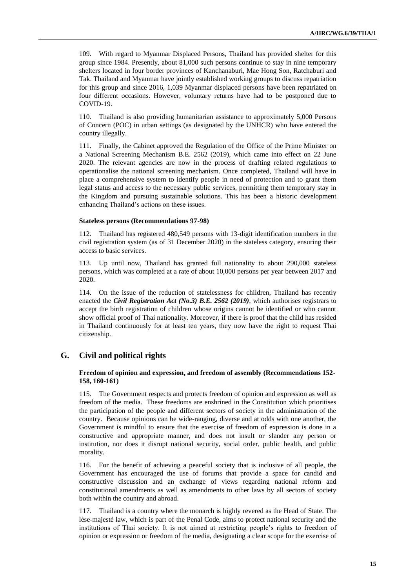109. With regard to Myanmar Displaced Persons, Thailand has provided shelter for this group since 1984. Presently, about 81,000 such persons continue to stay in nine temporary shelters located in four border provinces of Kanchanaburi, Mae Hong Son, Ratchaburi and Tak. Thailand and Myanmar have jointly established working groups to discuss repatriation for this group and since 2016, 1,039 Myanmar displaced persons have been repatriated on four different occasions. However, voluntary returns have had to be postponed due to COVID-19.

110. Thailand is also providing humanitarian assistance to approximately 5,000 Persons of Concern (POC) in urban settings (as designated by the UNHCR) who have entered the country illegally.

111. Finally, the Cabinet approved the Regulation of the Office of the Prime Minister on a National Screening Mechanism B.E. 2562 (2019), which came into effect on 22 June 2020. The relevant agencies are now in the process of drafting related regulations to operationalise the national screening mechanism. Once completed, Thailand will have in place a comprehensive system to identify people in need of protection and to grant them legal status and access to the necessary public services, permitting them temporary stay in the Kingdom and pursuing sustainable solutions. This has been a historic development enhancing Thailand's actions on these issues.

#### **Stateless persons (Recommendations 97-98)**

112. Thailand has registered 480,549 persons with 13-digit identification numbers in the civil registration system (as of 31 December 2020) in the stateless category, ensuring their access to basic services.

113. Up until now, Thailand has granted full nationality to about 290,000 stateless persons, which was completed at a rate of about 10,000 persons per year between 2017 and 2020.

114. On the issue of the reduction of statelessness for children, Thailand has recently enacted the *Civil Registration Act (No.3) B.E. 2562 (2019)*, which authorises registrars to accept the birth registration of children whose origins cannot be identified or who cannot show official proof of Thai nationality. Moreover, if there is proof that the child has resided in Thailand continuously for at least ten years, they now have the right to request Thai citizenship.

## **G. Civil and political rights**

### **Freedom of opinion and expression, and freedom of assembly (Recommendations 152- 158, 160-161)**

115. The Government respects and protects freedom of opinion and expression as well as freedom of the media. These freedoms are enshrined in the Constitution which prioritises the participation of the people and different sectors of society in the administration of the country. Because opinions can be wide-ranging, diverse and at odds with one another, the Government is mindful to ensure that the exercise of freedom of expression is done in a constructive and appropriate manner, and does not insult or slander any person or institution, nor does it disrupt national security, social order, public health, and public morality.

116. For the benefit of achieving a peaceful society that is inclusive of all people, the Government has encouraged the use of forums that provide a space for candid and constructive discussion and an exchange of views regarding national reform and constitutional amendments as well as amendments to other laws by all sectors of society both within the country and abroad.

117. Thailand is a country where the monarch is highly revered as the Head of State. The lèse-majesté law, which is part of the Penal Code, aims to protect national security and the institutions of Thai society. It is not aimed at restricting people's rights to freedom of opinion or expression or freedom of the media, designating a clear scope for the exercise of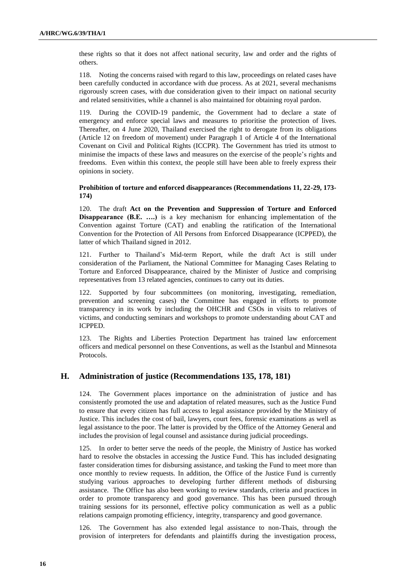these rights so that it does not affect national security, law and order and the rights of others.

118. Noting the concerns raised with regard to this law, proceedings on related cases have been carefully conducted in accordance with due process. As at 2021, several mechanisms rigorously screen cases, with due consideration given to their impact on national security and related sensitivities, while a channel is also maintained for obtaining royal pardon.

119. During the COVID-19 pandemic, the Government had to declare a state of emergency and enforce special laws and measures to prioritise the protection of lives. Thereafter, on 4 June 2020, Thailand exercised the right to derogate from its obligations (Article 12 on freedom of movement) under Paragraph 1 of Article 4 of the International Covenant on Civil and Political Rights (ICCPR). The Government has tried its utmost to minimise the impacts of these laws and measures on the exercise of the people's rights and freedoms. Even within this context, the people still have been able to freely express their opinions in society.

#### **Prohibition of torture and enforced disappearances (Recommendations 11, 22-29, 173- 174)**

120. The draft **Act on the Prevention and Suppression of Torture and Enforced Disappearance (B.E. ….)** is a key mechanism for enhancing implementation of the Convention against Torture (CAT) and enabling the ratification of the International Convention for the Protection of All Persons from Enforced Disappearance (ICPPED), the latter of which Thailand signed in 2012.

121. Further to Thailand's Mid-term Report, while the draft Act is still under consideration of the Parliament, the National Committee for Managing Cases Relating to Torture and Enforced Disappearance, chaired by the Minister of Justice and comprising representatives from 13 related agencies, continues to carry out its duties.

122. Supported by four subcommittees (on monitoring, investigating, remediation, prevention and screening cases) the Committee has engaged in efforts to promote transparency in its work by including the OHCHR and CSOs in visits to relatives of victims, and conducting seminars and workshops to promote understanding about CAT and ICPPED.

123. The Rights and Liberties Protection Department has trained law enforcement officers and medical personnel on these Conventions, as well as the Istanbul and Minnesota Protocols.

## **H. Administration of justice (Recommendations 135, 178, 181)**

124. The Government places importance on the administration of justice and has consistently promoted the use and adaptation of related measures, such as the Justice Fund to ensure that every citizen has full access to legal assistance provided by the Ministry of Justice. This includes the cost of bail, lawyers, court fees, forensic examinations as well as legal assistance to the poor. The latter is provided by the Office of the Attorney General and includes the provision of legal counsel and assistance during judicial proceedings.

125. In order to better serve the needs of the people, the Ministry of Justice has worked hard to resolve the obstacles in accessing the Justice Fund. This has included designating faster consideration times for disbursing assistance, and tasking the Fund to meet more than once monthly to review requests. In addition, the Office of the Justice Fund is currently studying various approaches to developing further different methods of disbursing assistance. The Office has also been working to review standards, criteria and practices in order to promote transparency and good governance. This has been pursued through training sessions for its personnel, effective policy communication as well as a public relations campaign promoting efficiency, integrity, transparency and good governance.

126. The Government has also extended legal assistance to non-Thais, through the provision of interpreters for defendants and plaintiffs during the investigation process,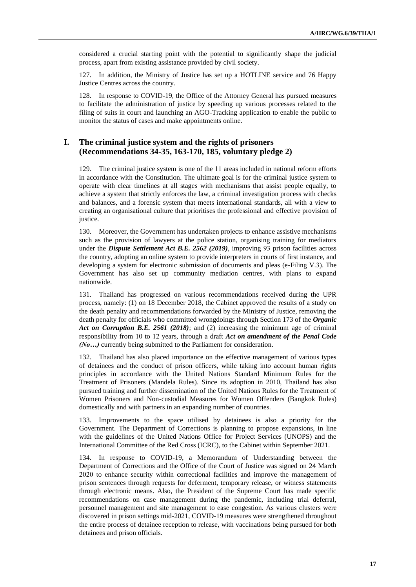considered a crucial starting point with the potential to significantly shape the judicial process, apart from existing assistance provided by civil society.

127. In addition, the Ministry of Justice has set up a HOTLINE service and 76 Happy Justice Centres across the country.

128. In response to COVID-19, the Office of the Attorney General has pursued measures to facilitate the administration of justice by speeding up various processes related to the filing of suits in court and launching an AGO-Tracking application to enable the public to monitor the status of cases and make appointments online.

## **I. The criminal justice system and the rights of prisoners (Recommendations 34-35, 163-170, 185, voluntary pledge 2)**

129. The criminal justice system is one of the 11 areas included in national reform efforts in accordance with the Constitution. The ultimate goal is for the criminal justice system to operate with clear timelines at all stages with mechanisms that assist people equally, to achieve a system that strictly enforces the law, a criminal investigation process with checks and balances, and a forensic system that meets international standards, all with a view to creating an organisational culture that prioritises the professional and effective provision of justice.

130. Moreover, the Government has undertaken projects to enhance assistive mechanisms such as the provision of lawyers at the police station, organising training for mediators under the *Dispute Settlement Act B.E. 2562 (2019)*, improving 93 prison facilities across the country, adopting an online system to provide interpreters in courts of first instance, and developing a system for electronic submission of documents and pleas (e-Filing V.3). The Government has also set up community mediation centres, with plans to expand nationwide.

131. Thailand has progressed on various recommendations received during the UPR process, namely: (1) on 18 December 2018, the Cabinet approved the results of a study on the death penalty and recommendations forwarded by the Ministry of Justice, removing the death penalty for officials who committed wrongdoings through Section 173 of the *Organic Act on Corruption B.E. 2561 (2018)*; and (2) increasing the minimum age of criminal responsibility from 10 to 12 years, through a draft *Act on amendment of the Penal Code (No…)* currently being submitted to the Parliament for consideration.

132. Thailand has also placed importance on the effective management of various types of detainees and the conduct of prison officers, while taking into account human rights principles in accordance with the United Nations Standard Minimum Rules for the Treatment of Prisoners (Mandela Rules). Since its adoption in 2010, Thailand has also pursued training and further dissemination of the United Nations Rules for the Treatment of Women Prisoners and Non-custodial Measures for Women Offenders (Bangkok Rules) domestically and with partners in an expanding number of countries.

133. Improvements to the space utilised by detainees is also a priority for the Government. The Department of Corrections is planning to propose expansions, in line with the guidelines of the United Nations Office for Project Services (UNOPS) and the International Committee of the Red Cross (ICRC), to the Cabinet within September 2021.

134. In response to COVID-19, a Memorandum of Understanding between the Department of Corrections and the Office of the Court of Justice was signed on 24 March 2020 to enhance security within correctional facilities and improve the management of prison sentences through requests for deferment, temporary release, or witness statements through electronic means. Also, the President of the Supreme Court has made specific recommendations on case management during the pandemic, including trial deferral, personnel management and site management to ease congestion. As various clusters were discovered in prison settings mid-2021, COVID-19 measures were strengthened throughout the entire process of detainee reception to release, with vaccinations being pursued for both detainees and prison officials.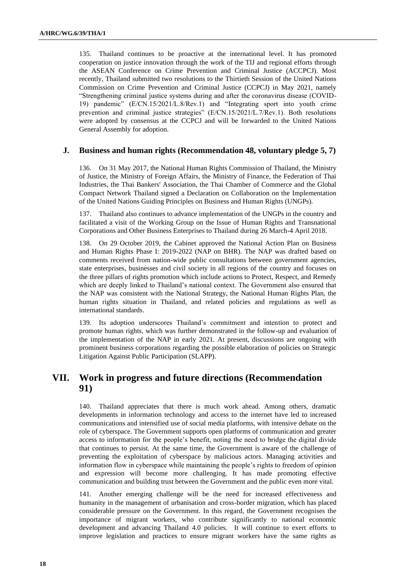135. Thailand continues to be proactive at the international level. It has promoted cooperation on justice innovation through the work of the TIJ and regional efforts through the ASEAN Conference on Crime Prevention and Criminal Justice (ACCPCJ). Most recently, Thailand submitted two resolutions to the Thirtieth Session of the United Nations Commission on Crime Prevention and Criminal Justice (CCPCJ) in May 2021, namely "Strengthening criminal justice systems during and after the coronavirus disease (COVID-19) pandemic" (E/CN.15/2021/L.8/Rev.1) and "Integrating sport into youth crime prevention and criminal justice strategies" (E/CN.15/2021/L.7/Rev.1). Both resolutions were adopted by consensus at the CCPCJ and will be forwarded to the United Nations General Assembly for adoption.

### **J. Business and human rights (Recommendation 48, voluntary pledge 5, 7)**

136. On 31 May 2017, the National Human Rights Commission of Thailand, the Ministry of Justice, the Ministry of Foreign Affairs, the Ministry of Finance, the Federation of Thai Industries, the Thai Bankers' Association, the Thai Chamber of Commerce and the Global Compact Network Thailand signed a Declaration on Collaboration on the Implementation of the United Nations Guiding Principles on Business and Human Rights (UNGPs).

137. Thailand also continues to advance implementation of the UNGPs in the country and facilitated a visit of the Working Group on the Issue of Human Rights and Transnational Corporations and Other Business Enterprises to Thailand during 26 March-4 April 2018.

138. On 29 October 2019, the Cabinet approved the National Action Plan on Business and Human Rights Phase I: 2019-2022 (NAP on BHR). The NAP was drafted based on comments received from nation-wide public consultations between government agencies, state enterprises, businesses and civil society in all regions of the country and focuses on the three pillars of rights promotion which include actions to Protect, Respect, and Remedy which are deeply linked to Thailand's national context. The Government also ensured that the NAP was consistent with the National Strategy, the National Human Rights Plan, the human rights situation in Thailand, and related policies and regulations as well as international standards.

139. Its adoption underscores Thailand's commitment and intention to protect and promote human rights, which was further demonstrated in the follow-up and evaluation of the implementation of the NAP in early 2021. At present, discussions are ongoing with prominent business corporations regarding the possible elaboration of policies on Strategic Litigation Against Public Participation (SLAPP).

## **VII. Work in progress and future directions (Recommendation 91)**

140. Thailand appreciates that there is much work ahead. Among others, dramatic developments in information technology and access to the internet have led to increased communications and intensified use of social media platforms, with intensive debate on the role of cyberspace. The Government supports open platforms of communication and greater access to information for the people's benefit, noting the need to bridge the digital divide that continues to persist. At the same time, the Government is aware of the challenge of preventing the exploitation of cyberspace by malicious actors. Managing activities and information flow in cyberspace while maintaining the people's rights to freedom of opinion and expression will become more challenging. It has made promoting effective communication and building trust between the Government and the public even more vital.

141. Another emerging challenge will be the need for increased effectiveness and humanity in the management of urbanisation and cross-border migration, which has placed considerable pressure on the Government. In this regard, the Government recognises the importance of migrant workers, who contribute significantly to national economic development and advancing Thailand 4.0 policies. It will continue to exert efforts to improve legislation and practices to ensure migrant workers have the same rights as